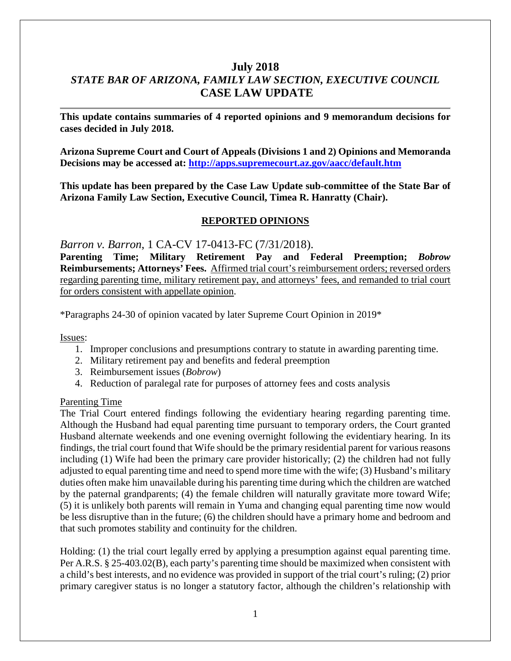# **July 2018** *STATE BAR OF ARIZONA, FAMILY LAW SECTION, EXECUTIVE COUNCIL* **CASE LAW UPDATE**

**This update contains summaries of 4 reported opinions and 9 memorandum decisions for cases decided in July 2018.**

**Arizona Supreme Court and Court of Appeals (Divisions 1 and 2) Opinions and Memoranda Decisions may be accessed at: <http://apps.supremecourt.az.gov/aacc/default.htm>**

**This update has been prepared by the Case Law Update sub-committee of the State Bar of Arizona Family Law Section, Executive Council, Timea R. Hanratty (Chair).**

### **REPORTED OPINIONS**

*Barron v. Barron*, 1 CA-CV 17-0413-FC (7/31/2018).

**Parenting Time; Military Retirement Pay and Federal Preemption;** *Bobrow*  **Reimbursements; Attorneys' Fees.** Affirmed trial court's reimbursement orders; reversed orders regarding parenting time, military retirement pay, and attorneys' fees, and remanded to trial court for orders consistent with appellate opinion.

\*Paragraphs 24-30 of opinion vacated by later Supreme Court Opinion in 2019\*

Issues:

- 1. Improper conclusions and presumptions contrary to statute in awarding parenting time.
- 2. Military retirement pay and benefits and federal preemption
- 3. Reimbursement issues (*Bobrow*)
- 4. Reduction of paralegal rate for purposes of attorney fees and costs analysis

#### Parenting Time

The Trial Court entered findings following the evidentiary hearing regarding parenting time. Although the Husband had equal parenting time pursuant to temporary orders, the Court granted Husband alternate weekends and one evening overnight following the evidentiary hearing. In its findings, the trial court found that Wife should be the primary residential parent for various reasons including (1) Wife had been the primary care provider historically; (2) the children had not fully adjusted to equal parenting time and need to spend more time with the wife; (3) Husband's military duties often make him unavailable during his parenting time during which the children are watched by the paternal grandparents; (4) the female children will naturally gravitate more toward Wife; (5) it is unlikely both parents will remain in Yuma and changing equal parenting time now would be less disruptive than in the future; (6) the children should have a primary home and bedroom and that such promotes stability and continuity for the children.

Holding: (1) the trial court legally erred by applying a presumption against equal parenting time. Per A.R.S. § 25-403.02(B), each party's parenting time should be maximized when consistent with a child's best interests, and no evidence was provided in support of the trial court's ruling; (2) prior primary caregiver status is no longer a statutory factor, although the children's relationship with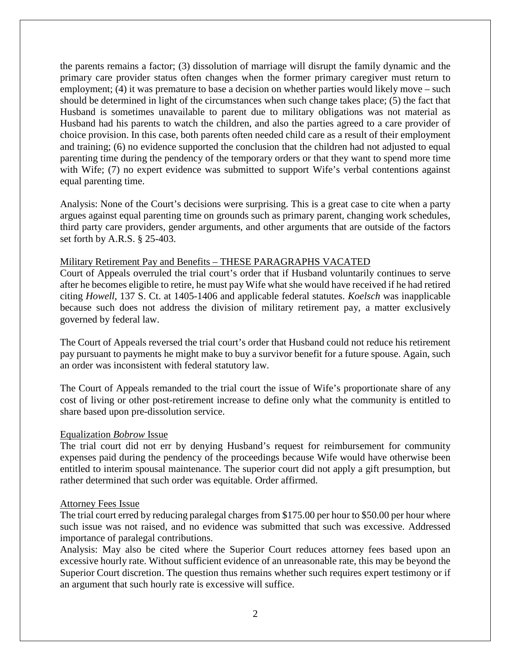the parents remains a factor; (3) dissolution of marriage will disrupt the family dynamic and the primary care provider status often changes when the former primary caregiver must return to employment; (4) it was premature to base a decision on whether parties would likely move – such should be determined in light of the circumstances when such change takes place; (5) the fact that Husband is sometimes unavailable to parent due to military obligations was not material as Husband had his parents to watch the children, and also the parties agreed to a care provider of choice provision. In this case, both parents often needed child care as a result of their employment and training; (6) no evidence supported the conclusion that the children had not adjusted to equal parenting time during the pendency of the temporary orders or that they want to spend more time with Wife; (7) no expert evidence was submitted to support Wife's verbal contentions against equal parenting time.

Analysis: None of the Court's decisions were surprising. This is a great case to cite when a party argues against equal parenting time on grounds such as primary parent, changing work schedules, third party care providers, gender arguments, and other arguments that are outside of the factors set forth by A.R.S. § 25-403.

#### Military Retirement Pay and Benefits – THESE PARAGRAPHS VACATED

Court of Appeals overruled the trial court's order that if Husband voluntarily continues to serve after he becomes eligible to retire, he must pay Wife what she would have received if he had retired citing *Howell*, 137 S. Ct. at 1405-1406 and applicable federal statutes. *Koelsch* was inapplicable because such does not address the division of military retirement pay, a matter exclusively governed by federal law.

The Court of Appeals reversed the trial court's order that Husband could not reduce his retirement pay pursuant to payments he might make to buy a survivor benefit for a future spouse. Again, such an order was inconsistent with federal statutory law.

The Court of Appeals remanded to the trial court the issue of Wife's proportionate share of any cost of living or other post-retirement increase to define only what the community is entitled to share based upon pre-dissolution service.

#### Equalization *Bobrow* Issue

The trial court did not err by denying Husband's request for reimbursement for community expenses paid during the pendency of the proceedings because Wife would have otherwise been entitled to interim spousal maintenance. The superior court did not apply a gift presumption, but rather determined that such order was equitable. Order affirmed.

#### Attorney Fees Issue

The trial court erred by reducing paralegal charges from \$175.00 per hour to \$50.00 per hour where such issue was not raised, and no evidence was submitted that such was excessive. Addressed importance of paralegal contributions.

Analysis: May also be cited where the Superior Court reduces attorney fees based upon an excessive hourly rate. Without sufficient evidence of an unreasonable rate, this may be beyond the Superior Court discretion. The question thus remains whether such requires expert testimony or if an argument that such hourly rate is excessive will suffice.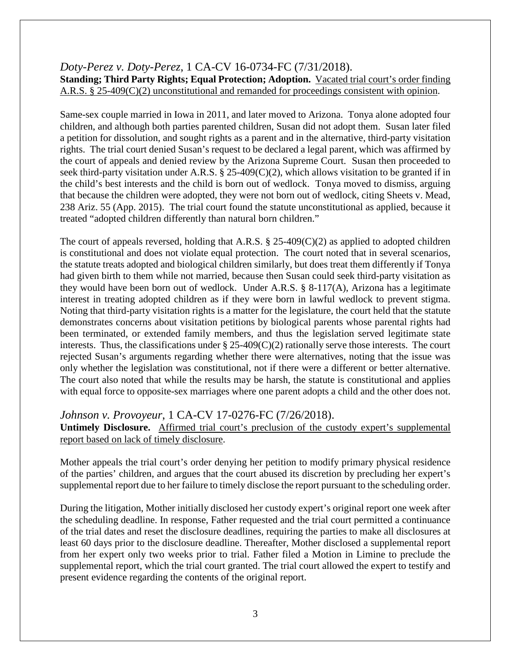# *Doty-Perez v. Doty-Perez*, 1 CA-CV 16-0734-FC (7/31/2018). **Standing; Third Party Rights; Equal Protection; Adoption.** Vacated trial court's order finding A.R.S. § 25-409(C)(2) unconstitutional and remanded for proceedings consistent with opinion.

Same-sex couple married in Iowa in 2011, and later moved to Arizona. Tonya alone adopted four children, and although both parties parented children, Susan did not adopt them. Susan later filed a petition for dissolution, and sought rights as a parent and in the alternative, third-party visitation rights. The trial court denied Susan's request to be declared a legal parent, which was affirmed by the court of appeals and denied review by the Arizona Supreme Court. Susan then proceeded to seek third-party visitation under A.R.S. § 25-409(C)(2), which allows visitation to be granted if in the child's best interests and the child is born out of wedlock. Tonya moved to dismiss, arguing that because the children were adopted, they were not born out of wedlock, citing Sheets v. Mead, 238 Ariz. 55 (App. 2015). The trial court found the statute unconstitutional as applied, because it treated "adopted children differently than natural born children."

The court of appeals reversed, holding that A.R.S.  $\S 25-409(C)(2)$  as applied to adopted children is constitutional and does not violate equal protection. The court noted that in several scenarios, the statute treats adopted and biological children similarly, but does treat them differently if Tonya had given birth to them while not married, because then Susan could seek third-party visitation as they would have been born out of wedlock. Under A.R.S. § 8-117(A), Arizona has a legitimate interest in treating adopted children as if they were born in lawful wedlock to prevent stigma. Noting that third-party visitation rights is a matter for the legislature, the court held that the statute demonstrates concerns about visitation petitions by biological parents whose parental rights had been terminated, or extended family members, and thus the legislation served legitimate state interests. Thus, the classifications under  $\S 25-409(C)(2)$  rationally serve those interests. The court rejected Susan's arguments regarding whether there were alternatives, noting that the issue was only whether the legislation was constitutional, not if there were a different or better alternative. The court also noted that while the results may be harsh, the statute is constitutional and applies with equal force to opposite-sex marriages where one parent adopts a child and the other does not.

# *Johnson v. Provoyeur*, 1 CA-CV 17-0276-FC (7/26/2018).

Untimely Disclosure. Affirmed trial court's preclusion of the custody expert's supplemental report based on lack of timely disclosure.

Mother appeals the trial court's order denying her petition to modify primary physical residence of the parties' children, and argues that the court abused its discretion by precluding her expert's supplemental report due to her failure to timely disclose the report pursuant to the scheduling order.

During the litigation, Mother initially disclosed her custody expert's original report one week after the scheduling deadline. In response, Father requested and the trial court permitted a continuance of the trial dates and reset the disclosure deadlines, requiring the parties to make all disclosures at least 60 days prior to the disclosure deadline. Thereafter, Mother disclosed a supplemental report from her expert only two weeks prior to trial. Father filed a Motion in Limine to preclude the supplemental report, which the trial court granted. The trial court allowed the expert to testify and present evidence regarding the contents of the original report.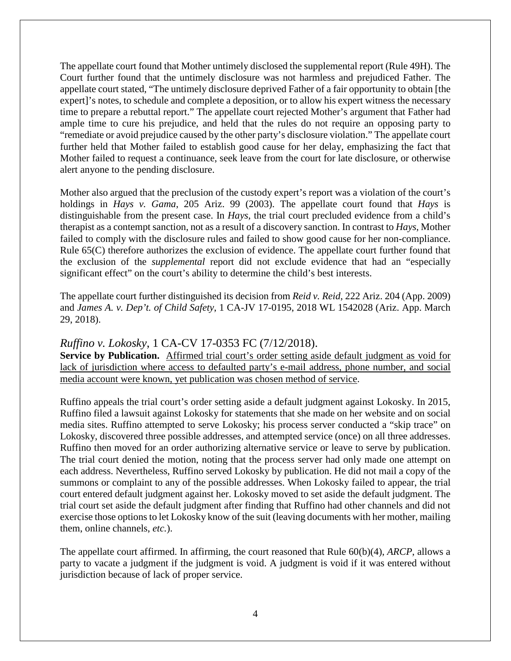The appellate court found that Mother untimely disclosed the supplemental report (Rule 49H). The Court further found that the untimely disclosure was not harmless and prejudiced Father. The appellate court stated, "The untimely disclosure deprived Father of a fair opportunity to obtain [the expert]'s notes, to schedule and complete a deposition, or to allow his expert witness the necessary time to prepare a rebuttal report." The appellate court rejected Mother's argument that Father had ample time to cure his prejudice, and held that the rules do not require an opposing party to "remediate or avoid prejudice caused by the other party's disclosure violation." The appellate court further held that Mother failed to establish good cause for her delay, emphasizing the fact that Mother failed to request a continuance, seek leave from the court for late disclosure, or otherwise alert anyone to the pending disclosure.

Mother also argued that the preclusion of the custody expert's report was a violation of the court's holdings in *Hays v. Gama*, 205 Ariz. 99 (2003). The appellate court found that *Hays* is distinguishable from the present case. In *Hays*, the trial court precluded evidence from a child's therapist as a contempt sanction, not as a result of a discovery sanction. In contrast to *Hays*, Mother failed to comply with the disclosure rules and failed to show good cause for her non-compliance. Rule 65(C) therefore authorizes the exclusion of evidence. The appellate court further found that the exclusion of the *supplemental* report did not exclude evidence that had an "especially significant effect" on the court's ability to determine the child's best interests.

The appellate court further distinguished its decision from *Reid v. Reid*, 222 Ariz. 204 (App. 2009) and *James A. v. Dep't. of Child Safety*, 1 CA-JV 17-0195, 2018 WL 1542028 (Ariz. App. March 29, 2018).

# *Ruffino v. Lokosky*, 1 CA-CV 17-0353 FC (7/12/2018).

Service by Publication. Affirmed trial court's order setting aside default judgment as void for lack of jurisdiction where access to defaulted party's e-mail address, phone number, and social media account were known, yet publication was chosen method of service.

Ruffino appeals the trial court's order setting aside a default judgment against Lokosky. In 2015, Ruffino filed a lawsuit against Lokosky for statements that she made on her website and on social media sites. Ruffino attempted to serve Lokosky; his process server conducted a "skip trace" on Lokosky, discovered three possible addresses, and attempted service (once) on all three addresses. Ruffino then moved for an order authorizing alternative service or leave to serve by publication. The trial court denied the motion, noting that the process server had only made one attempt on each address. Nevertheless, Ruffino served Lokosky by publication. He did not mail a copy of the summons or complaint to any of the possible addresses. When Lokosky failed to appear, the trial court entered default judgment against her. Lokosky moved to set aside the default judgment. The trial court set aside the default judgment after finding that Ruffino had other channels and did not exercise those options to let Lokosky know of the suit (leaving documents with her mother, mailing them, online channels, *etc.*).

The appellate court affirmed. In affirming, the court reasoned that Rule 60(b)(4), *ARCP*, allows a party to vacate a judgment if the judgment is void. A judgment is void if it was entered without jurisdiction because of lack of proper service.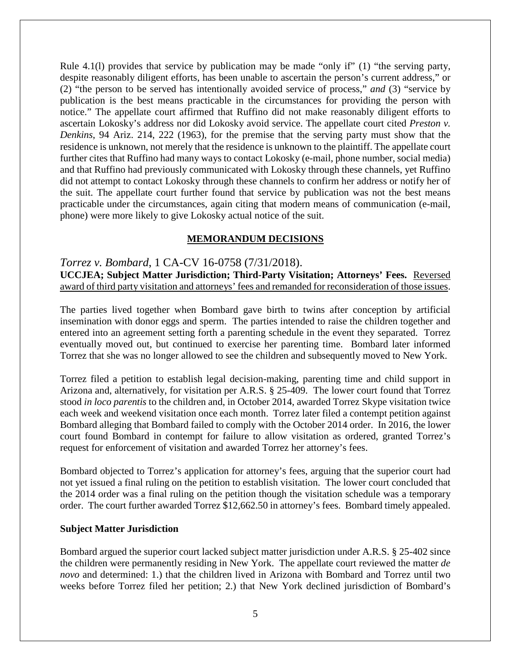Rule 4.1(l) provides that service by publication may be made "only if" (1) "the serving party, despite reasonably diligent efforts, has been unable to ascertain the person's current address," or (2) "the person to be served has intentionally avoided service of process," *and* (3) "service by publication is the best means practicable in the circumstances for providing the person with notice." The appellate court affirmed that Ruffino did not make reasonably diligent efforts to ascertain Lokosky's address nor did Lokosky avoid service. The appellate court cited *Preston v. Denkins*, 94 Ariz. 214, 222 (1963), for the premise that the serving party must show that the residence is unknown, not merely that the residence is unknown to the plaintiff. The appellate court further cites that Ruffino had many ways to contact Lokosky (e-mail, phone number, social media) and that Ruffino had previously communicated with Lokosky through these channels, yet Ruffino did not attempt to contact Lokosky through these channels to confirm her address or notify her of the suit. The appellate court further found that service by publication was not the best means practicable under the circumstances, again citing that modern means of communication (e-mail, phone) were more likely to give Lokosky actual notice of the suit.

#### **MEMORANDUM DECISIONS**

#### *Torrez v. Bombard*, 1 CA-CV 16-0758 (7/31/2018).

**UCCJEA; Subject Matter Jurisdiction; Third-Party Visitation; Attorneys' Fees.** Reversed award of third party visitation and attorneys' fees and remanded for reconsideration of those issues.

The parties lived together when Bombard gave birth to twins after conception by artificial insemination with donor eggs and sperm. The parties intended to raise the children together and entered into an agreement setting forth a parenting schedule in the event they separated. Torrez eventually moved out, but continued to exercise her parenting time. Bombard later informed Torrez that she was no longer allowed to see the children and subsequently moved to New York.

Torrez filed a petition to establish legal decision-making, parenting time and child support in Arizona and, alternatively, for visitation per A.R.S. § 25-409. The lower court found that Torrez stood *in loco parentis* to the children and, in October 2014, awarded Torrez Skype visitation twice each week and weekend visitation once each month. Torrez later filed a contempt petition against Bombard alleging that Bombard failed to comply with the October 2014 order. In 2016, the lower court found Bombard in contempt for failure to allow visitation as ordered, granted Torrez's request for enforcement of visitation and awarded Torrez her attorney's fees.

Bombard objected to Torrez's application for attorney's fees, arguing that the superior court had not yet issued a final ruling on the petition to establish visitation. The lower court concluded that the 2014 order was a final ruling on the petition though the visitation schedule was a temporary order. The court further awarded Torrez \$12,662.50 in attorney's fees. Bombard timely appealed.

#### **Subject Matter Jurisdiction**

Bombard argued the superior court lacked subject matter jurisdiction under A.R.S. § 25-402 since the children were permanently residing in New York. The appellate court reviewed the matter *de novo* and determined: 1.) that the children lived in Arizona with Bombard and Torrez until two weeks before Torrez filed her petition; 2.) that New York declined jurisdiction of Bombard's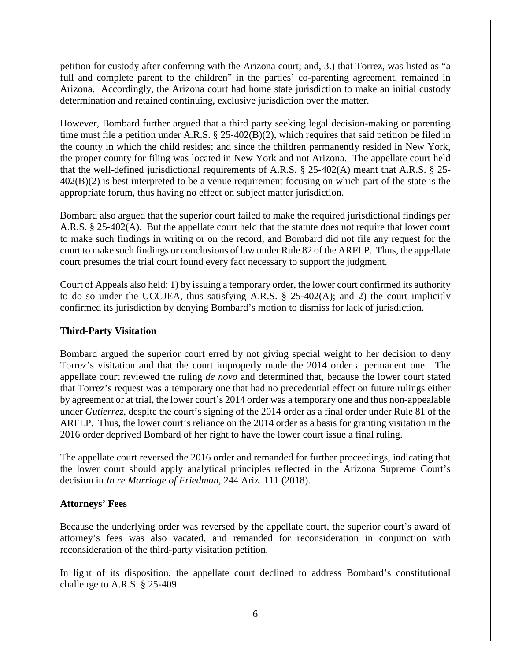petition for custody after conferring with the Arizona court; and, 3.) that Torrez, was listed as "a full and complete parent to the children" in the parties' co-parenting agreement, remained in Arizona. Accordingly, the Arizona court had home state jurisdiction to make an initial custody determination and retained continuing, exclusive jurisdiction over the matter.

However, Bombard further argued that a third party seeking legal decision-making or parenting time must file a petition under A.R.S. § 25-402(B)(2), which requires that said petition be filed in the county in which the child resides; and since the children permanently resided in New York, the proper county for filing was located in New York and not Arizona. The appellate court held that the well-defined jurisdictional requirements of A.R.S. § 25-402(A) meant that A.R.S. § 25- 402(B)(2) is best interpreted to be a venue requirement focusing on which part of the state is the appropriate forum, thus having no effect on subject matter jurisdiction.

Bombard also argued that the superior court failed to make the required jurisdictional findings per A.R.S. § 25-402(A). But the appellate court held that the statute does not require that lower court to make such findings in writing or on the record, and Bombard did not file any request for the court to make such findings or conclusions of law under Rule 82 of the ARFLP. Thus, the appellate court presumes the trial court found every fact necessary to support the judgment.

Court of Appeals also held: 1) by issuing a temporary order, the lower court confirmed its authority to do so under the UCCJEA, thus satisfying A.R.S. § 25-402(A); and 2) the court implicitly confirmed its jurisdiction by denying Bombard's motion to dismiss for lack of jurisdiction.

### **Third-Party Visitation**

Bombard argued the superior court erred by not giving special weight to her decision to deny Torrez's visitation and that the court improperly made the 2014 order a permanent one. The appellate court reviewed the ruling *de novo* and determined that, because the lower court stated that Torrez's request was a temporary one that had no precedential effect on future rulings either by agreement or at trial, the lower court's 2014 order was a temporary one and thus non-appealable under *Gutierrez,* despite the court's signing of the 2014 order as a final order under Rule 81 of the ARFLP. Thus, the lower court's reliance on the 2014 order as a basis for granting visitation in the 2016 order deprived Bombard of her right to have the lower court issue a final ruling.

The appellate court reversed the 2016 order and remanded for further proceedings, indicating that the lower court should apply analytical principles reflected in the Arizona Supreme Court's decision in *In re Marriage of Friedman,* 244 Ariz. 111 (2018).

### **Attorneys' Fees**

Because the underlying order was reversed by the appellate court, the superior court's award of attorney's fees was also vacated, and remanded for reconsideration in conjunction with reconsideration of the third-party visitation petition.

In light of its disposition, the appellate court declined to address Bombard's constitutional challenge to A.R.S. § 25-409.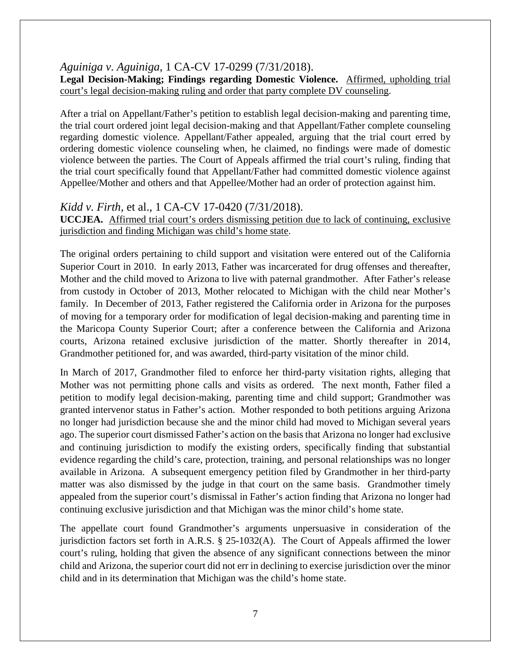*Aguiniga v. Aguiniga*, 1 CA-CV 17-0299 (7/31/2018).

**Legal Decision-Making; Findings regarding Domestic Violence.** Affirmed, upholding trial court's legal decision-making ruling and order that party complete DV counseling.

After a trial on Appellant/Father's petition to establish legal decision-making and parenting time, the trial court ordered joint legal decision-making and that Appellant/Father complete counseling regarding domestic violence. Appellant/Father appealed, arguing that the trial court erred by ordering domestic violence counseling when, he claimed, no findings were made of domestic violence between the parties. The Court of Appeals affirmed the trial court's ruling, finding that the trial court specifically found that Appellant/Father had committed domestic violence against Appellee/Mother and others and that Appellee/Mother had an order of protection against him.

# *Kidd v. Firth,* et al., 1 CA-CV 17-0420 (7/31/2018).

**UCCJEA.** Affirmed trial court's orders dismissing petition due to lack of continuing, exclusive jurisdiction and finding Michigan was child's home state.

The original orders pertaining to child support and visitation were entered out of the California Superior Court in 2010. In early 2013, Father was incarcerated for drug offenses and thereafter, Mother and the child moved to Arizona to live with paternal grandmother. After Father's release from custody in October of 2013, Mother relocated to Michigan with the child near Mother's family. In December of 2013, Father registered the California order in Arizona for the purposes of moving for a temporary order for modification of legal decision-making and parenting time in the Maricopa County Superior Court; after a conference between the California and Arizona courts, Arizona retained exclusive jurisdiction of the matter. Shortly thereafter in 2014, Grandmother petitioned for, and was awarded, third-party visitation of the minor child.

In March of 2017, Grandmother filed to enforce her third-party visitation rights, alleging that Mother was not permitting phone calls and visits as ordered. The next month, Father filed a petition to modify legal decision-making, parenting time and child support; Grandmother was granted intervenor status in Father's action. Mother responded to both petitions arguing Arizona no longer had jurisdiction because she and the minor child had moved to Michigan several years ago. The superior court dismissed Father's action on the basis that Arizona no longer had exclusive and continuing jurisdiction to modify the existing orders, specifically finding that substantial evidence regarding the child's care, protection, training, and personal relationships was no longer available in Arizona. A subsequent emergency petition filed by Grandmother in her third-party matter was also dismissed by the judge in that court on the same basis. Grandmother timely appealed from the superior court's dismissal in Father's action finding that Arizona no longer had continuing exclusive jurisdiction and that Michigan was the minor child's home state.

The appellate court found Grandmother's arguments unpersuasive in consideration of the jurisdiction factors set forth in A.R.S. § 25-1032(A). The Court of Appeals affirmed the lower court's ruling, holding that given the absence of any significant connections between the minor child and Arizona, the superior court did not err in declining to exercise jurisdiction over the minor child and in its determination that Michigan was the child's home state.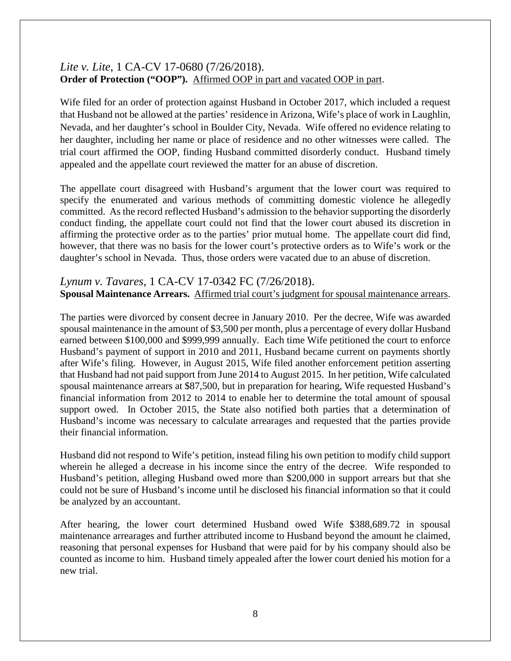# *Lite v. Lite*, 1 CA-CV 17-0680 (7/26/2018). **Order of Protection ("OOP").** Affirmed OOP in part and vacated OOP in part.

Wife filed for an order of protection against Husband in October 2017, which included a request that Husband not be allowed at the parties' residence in Arizona, Wife's place of work in Laughlin, Nevada, and her daughter's school in Boulder City, Nevada. Wife offered no evidence relating to her daughter, including her name or place of residence and no other witnesses were called. The trial court affirmed the OOP, finding Husband committed disorderly conduct. Husband timely appealed and the appellate court reviewed the matter for an abuse of discretion.

The appellate court disagreed with Husband's argument that the lower court was required to specify the enumerated and various methods of committing domestic violence he allegedly committed. As the record reflected Husband's admission to the behavior supporting the disorderly conduct finding, the appellate court could not find that the lower court abused its discretion in affirming the protective order as to the parties' prior mutual home. The appellate court did find, however, that there was no basis for the lower court's protective orders as to Wife's work or the daughter's school in Nevada. Thus, those orders were vacated due to an abuse of discretion.

# *Lynum v. Tavares*, 1 CA-CV 17-0342 FC (7/26/2018). **Spousal Maintenance Arrears.** Affirmed trial court's judgment for spousal maintenance arrears.

The parties were divorced by consent decree in January 2010. Per the decree, Wife was awarded spousal maintenance in the amount of \$3,500 per month, plus a percentage of every dollar Husband earned between \$100,000 and \$999,999 annually. Each time Wife petitioned the court to enforce Husband's payment of support in 2010 and 2011, Husband became current on payments shortly after Wife's filing. However, in August 2015, Wife filed another enforcement petition asserting that Husband had not paid support from June 2014 to August 2015. In her petition, Wife calculated spousal maintenance arrears at \$87,500, but in preparation for hearing, Wife requested Husband's financial information from 2012 to 2014 to enable her to determine the total amount of spousal support owed. In October 2015, the State also notified both parties that a determination of Husband's income was necessary to calculate arrearages and requested that the parties provide their financial information.

Husband did not respond to Wife's petition, instead filing his own petition to modify child support wherein he alleged a decrease in his income since the entry of the decree. Wife responded to Husband's petition, alleging Husband owed more than \$200,000 in support arrears but that she could not be sure of Husband's income until he disclosed his financial information so that it could be analyzed by an accountant.

After hearing, the lower court determined Husband owed Wife \$388,689.72 in spousal maintenance arrearages and further attributed income to Husband beyond the amount he claimed, reasoning that personal expenses for Husband that were paid for by his company should also be counted as income to him. Husband timely appealed after the lower court denied his motion for a new trial.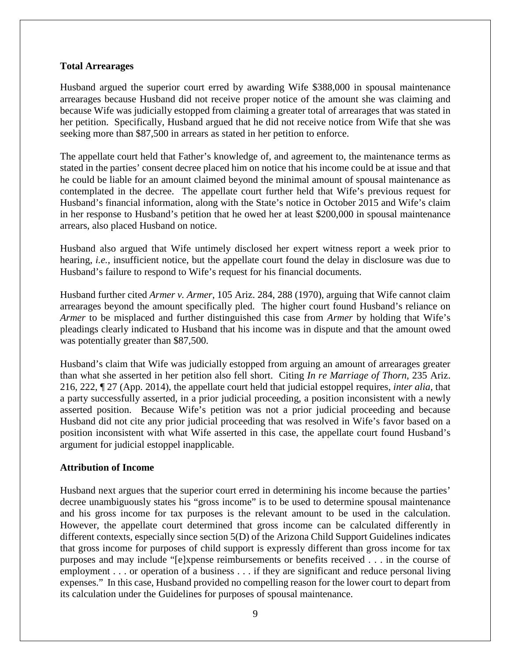#### **Total Arrearages**

Husband argued the superior court erred by awarding Wife \$388,000 in spousal maintenance arrearages because Husband did not receive proper notice of the amount she was claiming and because Wife was judicially estopped from claiming a greater total of arrearages that was stated in her petition. Specifically, Husband argued that he did not receive notice from Wife that she was seeking more than \$87,500 in arrears as stated in her petition to enforce.

The appellate court held that Father's knowledge of, and agreement to, the maintenance terms as stated in the parties' consent decree placed him on notice that his income could be at issue and that he could be liable for an amount claimed beyond the minimal amount of spousal maintenance as contemplated in the decree. The appellate court further held that Wife's previous request for Husband's financial information, along with the State's notice in October 2015 and Wife's claim in her response to Husband's petition that he owed her at least \$200,000 in spousal maintenance arrears, also placed Husband on notice.

Husband also argued that Wife untimely disclosed her expert witness report a week prior to hearing, *i.e.*, insufficient notice, but the appellate court found the delay in disclosure was due to Husband's failure to respond to Wife's request for his financial documents.

Husband further cited *Armer v. Armer*, 105 Ariz. 284, 288 (1970), arguing that Wife cannot claim arrearages beyond the amount specifically pled. The higher court found Husband's reliance on *Armer* to be misplaced and further distinguished this case from *Armer* by holding that Wife's pleadings clearly indicated to Husband that his income was in dispute and that the amount owed was potentially greater than \$87,500.

Husband's claim that Wife was judicially estopped from arguing an amount of arrearages greater than what she asserted in her petition also fell short. Citing *In re Marriage of Thorn*, 235 Ariz. 216, 222, ¶ 27 (App. 2014), the appellate court held that judicial estoppel requires, *inter alia,* that a party successfully asserted, in a prior judicial proceeding, a position inconsistent with a newly asserted position. Because Wife's petition was not a prior judicial proceeding and because Husband did not cite any prior judicial proceeding that was resolved in Wife's favor based on a position inconsistent with what Wife asserted in this case, the appellate court found Husband's argument for judicial estoppel inapplicable.

### **Attribution of Income**

Husband next argues that the superior court erred in determining his income because the parties' decree unambiguously states his "gross income" is to be used to determine spousal maintenance and his gross income for tax purposes is the relevant amount to be used in the calculation. However, the appellate court determined that gross income can be calculated differently in different contexts, especially since section 5(D) of the Arizona Child Support Guidelines indicates that gross income for purposes of child support is expressly different than gross income for tax purposes and may include "[e]xpense reimbursements or benefits received . . . in the course of employment . . . or operation of a business . . . if they are significant and reduce personal living expenses." In this case, Husband provided no compelling reason for the lower court to depart from its calculation under the Guidelines for purposes of spousal maintenance.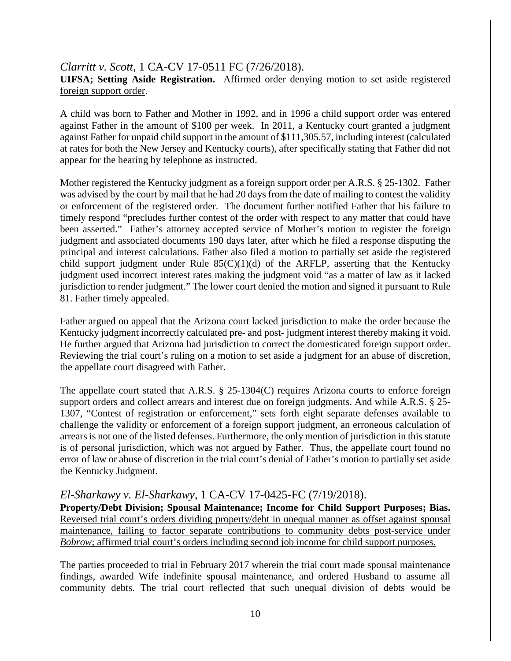# *Clarritt v. Scott*, 1 CA-CV 17-0511 FC (7/26/2018). **UIFSA; Setting Aside Registration.** Affirmed order denying motion to set aside registered foreign support order.

A child was born to Father and Mother in 1992, and in 1996 a child support order was entered against Father in the amount of \$100 per week. In 2011, a Kentucky court granted a judgment against Father for unpaid child support in the amount of \$111,305.57, including interest (calculated at rates for both the New Jersey and Kentucky courts), after specifically stating that Father did not appear for the hearing by telephone as instructed.

Mother registered the Kentucky judgment as a foreign support order per A.R.S. § 25-1302. Father was advised by the court by mail that he had 20 days from the date of mailing to contest the validity or enforcement of the registered order. The document further notified Father that his failure to timely respond "precludes further contest of the order with respect to any matter that could have been asserted." Father's attorney accepted service of Mother's motion to register the foreign judgment and associated documents 190 days later, after which he filed a response disputing the principal and interest calculations. Father also filed a motion to partially set aside the registered child support judgment under Rule  $85(C)(1)(d)$  of the ARFLP, asserting that the Kentucky judgment used incorrect interest rates making the judgment void "as a matter of law as it lacked jurisdiction to render judgment." The lower court denied the motion and signed it pursuant to Rule 81. Father timely appealed.

Father argued on appeal that the Arizona court lacked jurisdiction to make the order because the Kentucky judgment incorrectly calculated pre- and post- judgment interest thereby making it void. He further argued that Arizona had jurisdiction to correct the domesticated foreign support order. Reviewing the trial court's ruling on a motion to set aside a judgment for an abuse of discretion, the appellate court disagreed with Father.

The appellate court stated that A.R.S. § 25-1304(C) requires Arizona courts to enforce foreign support orders and collect arrears and interest due on foreign judgments. And while A.R.S. § 25- 1307, "Contest of registration or enforcement," sets forth eight separate defenses available to challenge the validity or enforcement of a foreign support judgment, an erroneous calculation of arrears is not one of the listed defenses. Furthermore, the only mention of jurisdiction in this statute is of personal jurisdiction, which was not argued by Father. Thus, the appellate court found no error of law or abuse of discretion in the trial court's denial of Father's motion to partially set aside the Kentucky Judgment.

# *El-Sharkawy v. El-Sharkawy*, 1 CA-CV 17-0425-FC (7/19/2018).

**Property/Debt Division; Spousal Maintenance; Income for Child Support Purposes; Bias.**  Reversed trial court's orders dividing property/debt in unequal manner as offset against spousal maintenance, failing to factor separate contributions to community debts post-service under *Bobrow*; affirmed trial court's orders including second job income for child support purposes.

The parties proceeded to trial in February 2017 wherein the trial court made spousal maintenance findings, awarded Wife indefinite spousal maintenance, and ordered Husband to assume all community debts. The trial court reflected that such unequal division of debts would be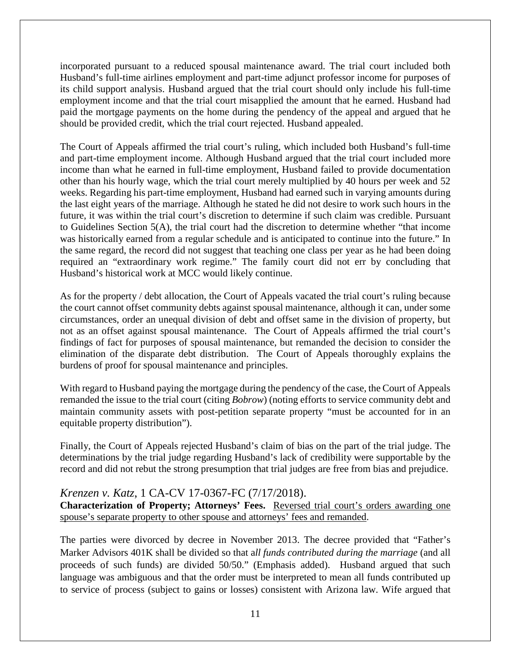incorporated pursuant to a reduced spousal maintenance award. The trial court included both Husband's full-time airlines employment and part-time adjunct professor income for purposes of its child support analysis. Husband argued that the trial court should only include his full-time employment income and that the trial court misapplied the amount that he earned. Husband had paid the mortgage payments on the home during the pendency of the appeal and argued that he should be provided credit, which the trial court rejected. Husband appealed.

The Court of Appeals affirmed the trial court's ruling, which included both Husband's full-time and part-time employment income. Although Husband argued that the trial court included more income than what he earned in full-time employment, Husband failed to provide documentation other than his hourly wage, which the trial court merely multiplied by 40 hours per week and 52 weeks. Regarding his part-time employment, Husband had earned such in varying amounts during the last eight years of the marriage. Although he stated he did not desire to work such hours in the future, it was within the trial court's discretion to determine if such claim was credible. Pursuant to Guidelines Section  $5(A)$ , the trial court had the discretion to determine whether "that income" was historically earned from a regular schedule and is anticipated to continue into the future." In the same regard, the record did not suggest that teaching one class per year as he had been doing required an "extraordinary work regime." The family court did not err by concluding that Husband's historical work at MCC would likely continue.

As for the property / debt allocation, the Court of Appeals vacated the trial court's ruling because the court cannot offset community debts against spousal maintenance, although it can, under some circumstances, order an unequal division of debt and offset same in the division of property, but not as an offset against spousal maintenance. The Court of Appeals affirmed the trial court's findings of fact for purposes of spousal maintenance, but remanded the decision to consider the elimination of the disparate debt distribution. The Court of Appeals thoroughly explains the burdens of proof for spousal maintenance and principles.

With regard to Husband paying the mortgage during the pendency of the case, the Court of Appeals remanded the issue to the trial court (citing *Bobrow*) (noting efforts to service community debt and maintain community assets with post-petition separate property "must be accounted for in an equitable property distribution").

Finally, the Court of Appeals rejected Husband's claim of bias on the part of the trial judge. The determinations by the trial judge regarding Husband's lack of credibility were supportable by the record and did not rebut the strong presumption that trial judges are free from bias and prejudice.

# *Krenzen v. Katz*, 1 CA-CV 17-0367-FC (7/17/2018).

**Characterization of Property; Attorneys' Fees.** Reversed trial court's orders awarding one spouse's separate property to other spouse and attorneys' fees and remanded.

The parties were divorced by decree in November 2013. The decree provided that "Father's Marker Advisors 401K shall be divided so that a*ll funds contributed during the marriage* (and all proceeds of such funds) are divided 50/50." (Emphasis added). Husband argued that such language was ambiguous and that the order must be interpreted to mean all funds contributed up to service of process (subject to gains or losses) consistent with Arizona law. Wife argued that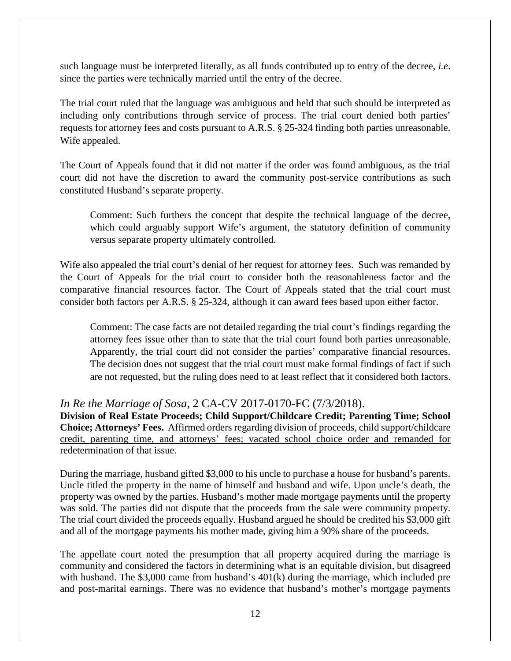such language must be interpreted literally, as all funds contributed up to entry of the decree, *i.e*. since the parties were technically married until the entry of the decree.

The trial court ruled that the language was ambiguous and held that such should be interpreted as including only contributions through service of process. The trial court denied both parties' requests for attorney fees and costs pursuant to A.R.S. § 25-324 finding both parties unreasonable. Wife appealed.

The Court of Appeals found that it did not matter if the order was found ambiguous, as the trial court did not have the discretion to award the community post-service contributions as such constituted Husband's separate property.

Comment: Such furthers the concept that despite the technical language of the decree, which could arguably support Wife's argument, the statutory definition of community versus separate property ultimately controlled.

Wife also appealed the trial court's denial of her request for attorney fees. Such was remanded by the Court of Appeals for the trial court to consider both the reasonableness factor and the comparative financial resources factor. The Court of Appeals stated that the trial court must consider both factors per A.R.S. § 25-324, although it can award fees based upon either factor.

Comment: The case facts are not detailed regarding the trial court's findings regarding the attorney fees issue other than to state that the trial court found both parties unreasonable. Apparently, the trial court did not consider the parties' comparative financial resources. The decision does not suggest that the trial court must make formal findings of fact if such are not requested, but the ruling does need to at least reflect that it considered both factors.

# *In Re the Marriage of Sosa*, 2 CA-CV 2017-0170-FC (7/3/2018).

**Division of Real Estate Proceeds; Child Support/Childcare Credit; Parenting Time; School Choice; Attorneys' Fees.** Affirmed orders regarding division of proceeds, child support/childcare credit, parenting time, and attorneys' fees; vacated school choice order and remanded for redetermination of that issue.

During the marriage, husband gifted \$3,000 to his uncle to purchase a house for husband's parents. Uncle titled the property in the name of himself and husband and wife. Upon uncle's death, the property was owned by the parties. Husband's mother made mortgage payments until the property was sold. The parties did not dispute that the proceeds from the sale were community property. The trial court divided the proceeds equally. Husband argued he should be credited his \$3,000 gift and all of the mortgage payments his mother made, giving him a 90% share of the proceeds.

The appellate court noted the presumption that all property acquired during the marriage is community and considered the factors in determining what is an equitable division, but disagreed with husband. The \$3,000 came from husband's 401(k) during the marriage, which included pre and post-marital earnings. There was no evidence that husband's mother's mortgage payments